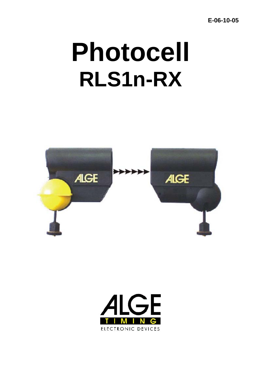$E-06-10-05$ 

# **Photocell RLS1n-RX**



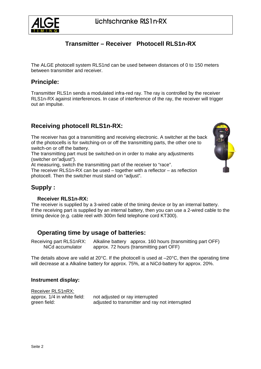

# **Transmitter – Receiver Photocell RLS1n-RX**

The ALGE photocell system RLS1nd can be used between distances of 0 to 150 meters between transmitter and receiver.

## **Principle:**

Transmitter RLS1n sends a modulated infra-red ray. The ray is controlled by the receiver RLS1n-RX against interferences. In case of interference of the ray, the receiver will trigger out an impulse.

# **Receiving photocell RLS1n-RX:**

The receiver has got a transmitting and receiving electronic. A switcher at the back of the photocells is for switching-on or off the transmitting parts, the other one to switch-on or off the battery.

The transmitting part must be switched-on in order to make any adjustments (switcher on"adjust").

At measuring, switch the transmitting part of the receiver to "race".

The receiver RLS1n-RX can be used – together with a reflector – as reflection photocell. Then the switcher must stand on "adjust".



# **Supply :**

#### **Receiver RLS1n-RX:**

The receiver is supplied by a 3-wired cable of the timing device or by an internal battery. If the receiving part is supplied by an internal battery, then you can use a 2-wired cable to the timing device (e.g. cable reel with 300m field telephone cord KT300).

## **Operating time by usage of batteries:**

Receiving part RLS1nRX: Alkaline battery approx. 160 hours (transmitting part OFF) NiCd accumulator approx. 72 hours (transmitting part OFF)

The details above are valid at 20 $^{\circ}$ C. If the photocell is used at  $-20^{\circ}$ C, then the operating time will decrease at a Alkaline battery for approx. 75%, at a NiCd-battery for approx. 20%.

#### **Instrument display:**

Receiver RLS1nRX: approx. 1/4 in white field: not adjusted or ray interrupted green field: adjusted to transmitter and ray not interrupted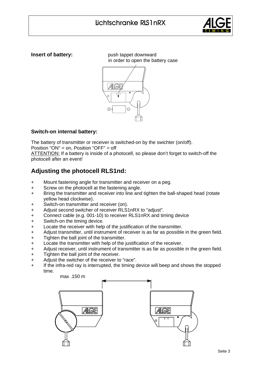

**Insert of battery:** push tappet downward in order to open the battery case



## **Switch-on internal battery:**

The battery of transmitter or receiver is switched-on by the swichter (on/off).

Position "ON" = on, Position "OFF" = off

ATTENTION: If a battery is inside of a photocell, so please don't forget to switch-off the photocell after an event!

# **Adjusting the photocell RLS1nd:**

- + Mount fastening angle for transmitter and receiver on a peg.
- + Screw on the photocell at the fastening angle.
- + Bring the transmitter and receiver into line and tighten the ball-shaped head (rotate yellow head clockwise).
- + Switch-on transmitter and receiver (on).
- + Adjust second switcher of receiver RLS1nRX to "adjust".
- + Connect cable (e.g. 001-10) to receiver RLS1nRX and timing device
- + Switch-on the timing device.
- + Locate the receiver with help of the justification of the transmitter.
- + Adjust transmitter, until instrument of receiver is as far as possible in the green field.
- + Tighten the ball joint of the transmitter.
- + Locate the transmitter with help of the justification of the receiver.
- + Adjust receiver, until instrument of transmitter is as far as possible in the green field.
- + Tighten the ball joint of the receiver.
- + Adjust the switcher of the receiver to "race".
- + If the infra-red ray is interrupted, the timing device will beep and shows the stopped time.